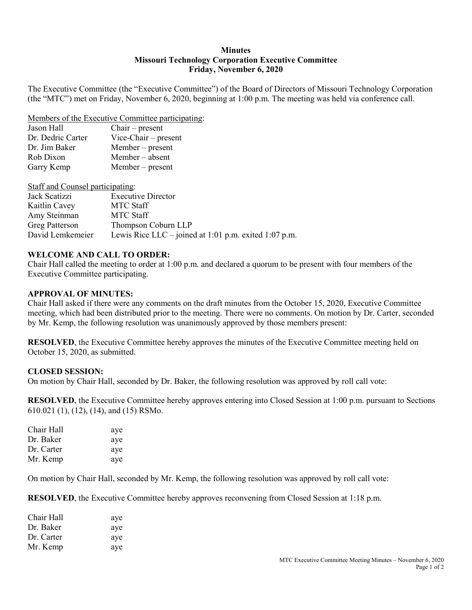### **Minutes Missouri Technology Corporation Executive Committee Friday, November 6, 2020**

The Executive Committee (the "Executive Committee") of the Board of Directors of Missouri Technology Corporation (the "MTC") met on Friday, November 6, 2020, beginning at 1:00 p.m. The meeting was held via conference call.

#### Members of the Executive Committee participating:

| $Chair - present$      |
|------------------------|
| $Vice-Chair - present$ |
| $Member - present$     |
| Member – absent        |
| Member – present       |
|                        |

Staff and Counsel participating:

| Jack Scatizzi         | <b>Executive Director</b>                             |
|-----------------------|-------------------------------------------------------|
| Kaitlin Cavey         | MTC Staff                                             |
| Amy Steinman          | <b>MTC Staff</b>                                      |
| <b>Greg Patterson</b> | Thompson Coburn LLP                                   |
| David Lemkemeier      | Lewis Rice LLC – joined at 1:01 p.m. exited 1:07 p.m. |

### **WELCOME AND CALL TO ORDER:**

Chair Hall called the meeting to order at 1:00 p.m. and declared a quorum to be present with four members of the Executive Committee participating.

### **APPROVAL OF MINUTES:**

Chair Hall asked if there were any comments on the draft minutes from the October 15, 2020, Executive Committee meeting, which had been distributed prior to the meeting. There were no comments. On motion by Dr. Carter, seconded by Mr. Kemp, the following resolution was unanimously approved by those members present:

**RESOLVED**, the Executive Committee hereby approves the minutes of the Executive Committee meeting held on October 15, 2020, as submitted.

### **CLOSED SESSION:**

On motion by Chair Hall, seconded by Dr. Baker, the following resolution was approved by roll call vote:

**RESOLVED**, the Executive Committee hereby approves entering into Closed Session at 1:00 p.m. pursuant to Sections 610.021 (1), (12), (14), and (15) RSMo.

| Chair Hall | aye |
|------------|-----|
| Dr. Baker  | aye |
| Dr. Carter | aye |
| Mr. Kemp   | aye |

On motion by Chair Hall, seconded by Mr. Kemp, the following resolution was approved by roll call vote:

**RESOLVED**, the Executive Committee hereby approves reconvening from Closed Session at 1:18 p.m.

| Chair Hall | aye |
|------------|-----|
| Dr. Baker  | aye |
| Dr. Carter | aye |
| Mr. Kemp   | aye |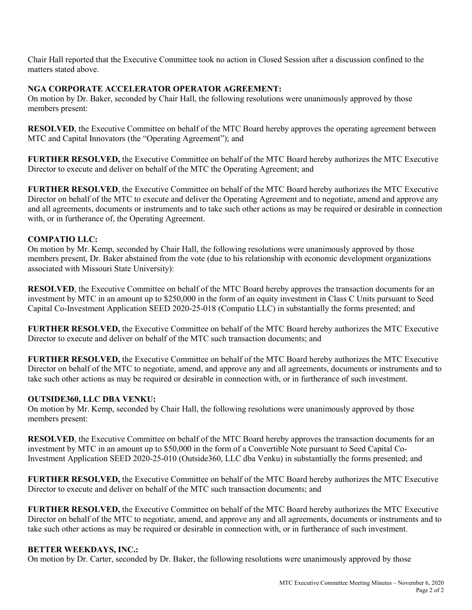Chair Hall reported that the Executive Committee took no action in Closed Session after a discussion confined to the matters stated above.

# **NGA CORPORATE ACCELERATOR OPERATOR AGREEMENT:**

On motion by Dr. Baker, seconded by Chair Hall, the following resolutions were unanimously approved by those members present:

**RESOLVED**, the Executive Committee on behalf of the MTC Board hereby approves the operating agreement between MTC and Capital Innovators (the "Operating Agreement"); and

**FURTHER RESOLVED,** the Executive Committee on behalf of the MTC Board hereby authorizes the MTC Executive Director to execute and deliver on behalf of the MTC the Operating Agreement; and

**FURTHER RESOLVED**, the Executive Committee on behalf of the MTC Board hereby authorizes the MTC Executive Director on behalf of the MTC to execute and deliver the Operating Agreement and to negotiate, amend and approve any and all agreements, documents or instruments and to take such other actions as may be required or desirable in connection with, or in furtherance of, the Operating Agreement.

## **COMPATIO LLC:**

On motion by Mr. Kemp, seconded by Chair Hall, the following resolutions were unanimously approved by those members present, Dr. Baker abstained from the vote (due to his relationship with economic development organizations associated with Missouri State University):

**RESOLVED**, the Executive Committee on behalf of the MTC Board hereby approves the transaction documents for an investment by MTC in an amount up to \$250,000 in the form of an equity investment in Class C Units pursuant to Seed Capital Co-Investment Application SEED 2020-25-018 (Compatio LLC) in substantially the forms presented; and

**FURTHER RESOLVED,** the Executive Committee on behalf of the MTC Board hereby authorizes the MTC Executive Director to execute and deliver on behalf of the MTC such transaction documents; and

**FURTHER RESOLVED,** the Executive Committee on behalf of the MTC Board hereby authorizes the MTC Executive Director on behalf of the MTC to negotiate, amend, and approve any and all agreements, documents or instruments and to take such other actions as may be required or desirable in connection with, or in furtherance of such investment.

## **OUTSIDE360, LLC DBA VENKU:**

On motion by Mr. Kemp, seconded by Chair Hall, the following resolutions were unanimously approved by those members present:

**RESOLVED**, the Executive Committee on behalf of the MTC Board hereby approves the transaction documents for an investment by MTC in an amount up to \$50,000 in the form of a Convertible Note pursuant to Seed Capital Co-Investment Application SEED 2020-25-010 (Outside360, LLC dba Venku) in substantially the forms presented; and

**FURTHER RESOLVED,** the Executive Committee on behalf of the MTC Board hereby authorizes the MTC Executive Director to execute and deliver on behalf of the MTC such transaction documents; and

**FURTHER RESOLVED,** the Executive Committee on behalf of the MTC Board hereby authorizes the MTC Executive Director on behalf of the MTC to negotiate, amend, and approve any and all agreements, documents or instruments and to take such other actions as may be required or desirable in connection with, or in furtherance of such investment.

## **BETTER WEEKDAYS, INC.:**

On motion by Dr. Carter, seconded by Dr. Baker, the following resolutions were unanimously approved by those